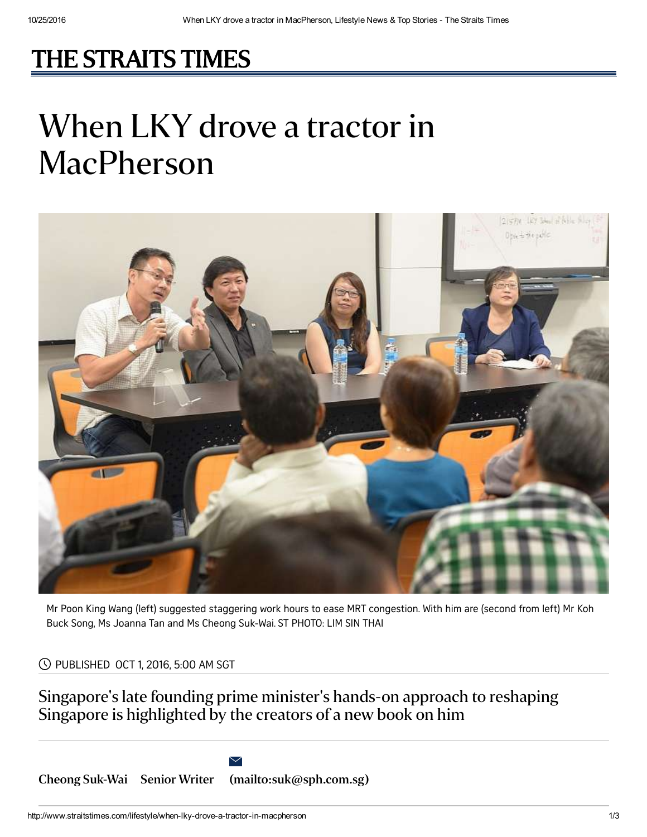## [THE STRAITS TIMES](http://www.straitstimes.com/)

## When LKY drove a tractor in MacPherson



Mr Poon King Wang (left) suggested staggering work hours to ease MRT congestion. With him are (second from left) Mr Koh Buck Song, Ms Joanna Tan and Ms Cheong Suk-Wai. ST PHOTO: LIM SIN THAI

PUBLISHED OCT 1, 2016, 5:00 AM SGT

Singapore's late founding prime minister's hands-on approach to reshaping Singapore is highlighted by the creators of a new book on him

Cheong [Suk-Wai](http://www.straitstimes.com/authors/cheong-suk-wai) Senior Writer [\(mailto:suk@sph.com.sg\)](mailto:suk@sph.com.sg)

 $\overline{\vee}$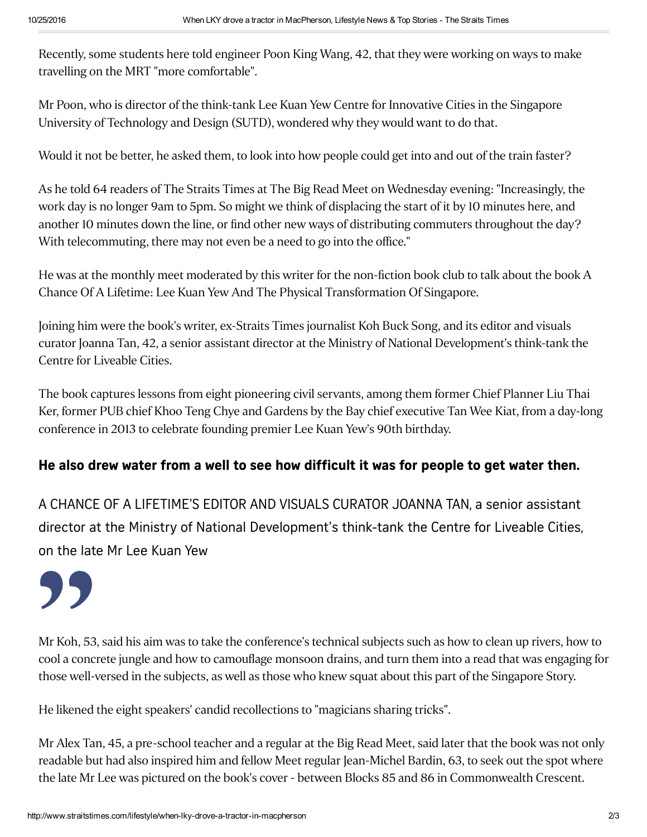Recently, some students here told engineer Poon King Wang, 42, that they were working on ways to make travelling on the MRT "more comfortable".

Mr Poon, who is director of the think-tank Lee Kuan Yew Centre for Innovative Cities in the Singapore University of Technology and Design (SUTD), wondered why they would want to do that.

Would it not be better, he asked them, to look into how people could get into and out of the train faster?

As he told 64 readers of The Straits Times at The Big Read Meet on Wednesday evening: "Increasingly, the work day is no longer 9am to 5pm. So might we think of displacing the start of it by 10 minutes here, and another 10 minutes down the line, or find other new ways of distributing commuters throughout the day? With telecommuting, there may not even be a need to go into the office."

He was at the monthly meet moderated by this writer for the non-fiction book club to talk about the book A Chance Of A Lifetime: Lee Kuan Yew And The Physical Transformation Of Singapore.

Joining him were the book's writer, ex-Straits Times journalist Koh Buck Song, and its editor and visuals curator Joanna Tan, 42, a senior assistant director at the Ministry of National Development's think-tank the Centre for Liveable Cities.

The book captures lessons from eight pioneering civil servants, among them former Chief Planner Liu Thai Ker, former PUB chief Khoo Teng Chye and Gardens by the Bay chief executive Tan Wee Kiat, from a day-long conference in 2013 to celebrate founding premier Lee Kuan Yew's 90th birthday.

## He also drew water from a well to see how difficult it was for people to get water then.

A CHANCE OF A LIFETIME'S EDITOR AND VISUALS CURATOR JOANNA TAN, a senior assistant director at the Ministry of National Development's think-tank the Centre for Liveable Cities, on the late Mr Lee Kuan Yew



Mr Koh, 53, said his aim was to take the conference's technical subjects such as how to clean up rivers, how to cool a concrete jungle and how to camouflage monsoon drains, and turn them into a read that was engaging for those well-versed in the subjects, as well as those who knew squat about this part of the Singapore Story.

He likened the eight speakers' candid recollections to "magicians sharing tricks".

Mr Alex Tan, 45, a pre-school teacher and a regular at the Big Read Meet, said later that the book was not only readable but had also inspired him and fellow Meet regular Jean-Michel Bardin, 63, to seek out the spot where the late Mr Lee was pictured on the book's cover - between Blocks 85 and 86 in Commonwealth Crescent.